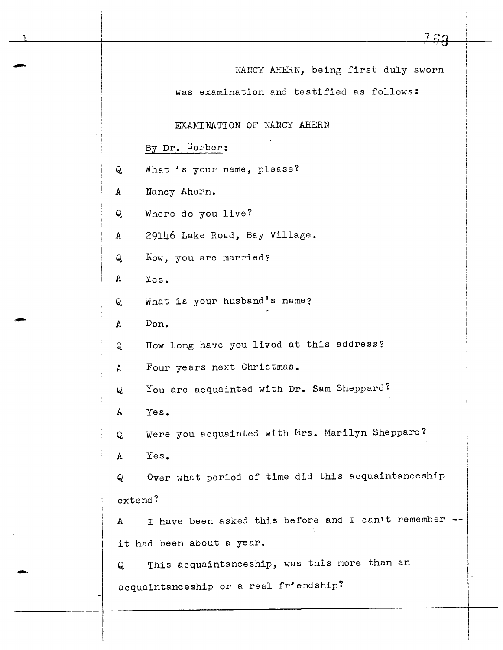| <u> 100</u>                                                |  |  |  |  |
|------------------------------------------------------------|--|--|--|--|
| NANCY AHERN, being first duly sworn                        |  |  |  |  |
| was examination and testified as follows:                  |  |  |  |  |
|                                                            |  |  |  |  |
| EXAMINATION OF NANCY AHERN                                 |  |  |  |  |
| By Dr. Gerber:                                             |  |  |  |  |
| What is your name, please?<br>Q                            |  |  |  |  |
| Nancy Ahern.<br>A                                          |  |  |  |  |
| Where do you live?<br>Q                                    |  |  |  |  |
| 29146 Lake Road, Bay Village.<br>A                         |  |  |  |  |
| Now, you are married?<br>Q                                 |  |  |  |  |
| A<br>Yes.                                                  |  |  |  |  |
| What is your husband's name?<br>Q                          |  |  |  |  |
| Don.<br>A                                                  |  |  |  |  |
| How long have you lived at this address?<br>Q              |  |  |  |  |
| Four years next Christmas.<br>A                            |  |  |  |  |
| You are acquainted with Dr. Sam Sheppard?<br>Q             |  |  |  |  |
| A<br>Yes.                                                  |  |  |  |  |
| Were you acquainted with Mrs. Marilyn Sheppard?<br>Q       |  |  |  |  |
| Yes.<br>$\mathbf{A}$                                       |  |  |  |  |
| Over what period of time did this acquaintanceship<br>Q    |  |  |  |  |
| extend?                                                    |  |  |  |  |
| I have been asked this before and I can't remember --<br>A |  |  |  |  |
| it had been about a year.                                  |  |  |  |  |
| This acquaintanceship, was this more than an<br>Q          |  |  |  |  |
| acquaintanceship or a real friendship?                     |  |  |  |  |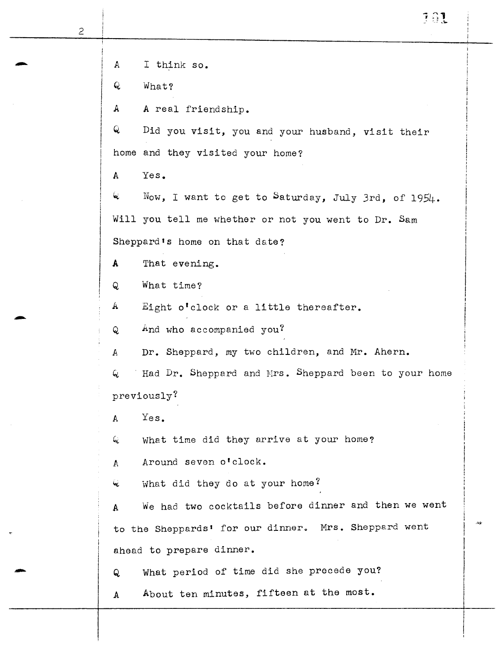A I think so. Q. What? A A real friendship. Q Did you visit, you and your husband, visit their home and they visited your home? A Yes.  $\mathcal{L}$  Now, I want to get to Saturday, July 3rd, of 1954. Will you tell me whether or not you went to Dr. Sam Sheppard's home on that date? A That evening. Q What time?  $A$  Eight o'clock or a little thereafter. Q And who accompanied you? A Dr. Sheppard, my two children, and Mr. Ahern.  $Q$  Had Dr. Sheppard and Mrs. Sheppard been to your home previously? A Yes.  $Q$  what time did they arrive at your home? *A* Around seven o'clock.  $Q$  What did they do at your home? A We had two cocktails before dinner and then we went to the Sheppards' for our dinner. Mrs. Sheppard went ahead to prepare dinner. Q What period of time did she precede you?<br>A About ten minutes, fifteen at the most. *A* About ten minutes, fifteen at the most.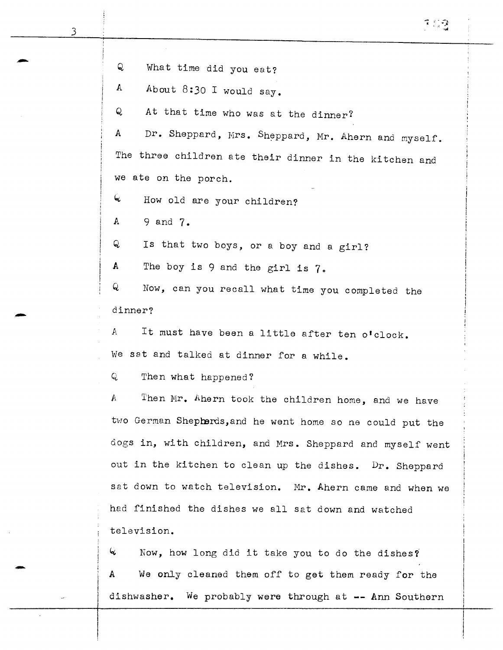Q What time did you eat? A About 8:30 I would say. Q At that time who was at the dinner? A Dr. Sheppard, Mrs. Sheppard, Mr. Ahern and myself. The three children ate their dinner in the kitchen and we ate on the porch.  $Q$  How old are your children? A 9 and 7. Q Is that two boys, or a boy and a girl? A The boy is  $9$  and the girl is  $7$ . Q Now, can you recall what time you completed the dinner? *<sup>A</sup>*It must have been a little after ten o'clock. We sat and talked at dinner for a while. Q Then what happened? A Then Mr. Ahern took the children home, and we have two German Shepherds, and he went home so he could put the dogs in, with children, and Mrs. Sheppard and myself went out in the kitchen to clean up the dishes. Dr. Sheppard sat down to watch television. Mr. Ahern came and when we

""; *:* : :-;

had finished the dishes we all sat down and watched television.

 $\mathcal{L}$  Now, how long did it take you to do the dishes? A We only cleaned them off to get them ready for the dishwasher. We probably were through at -- Ann Southern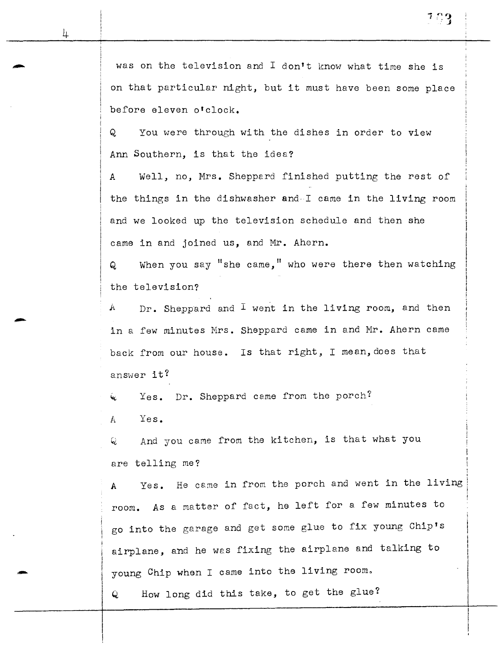-

was on the television and I don't know what time she is on that particular night, but it must have been some place before eleven o'clock.

Q You were through with the dishes in order to view Ann Southern, is that the idea?

A Well, no, Mrs. Sheppard finished putting the rest of the things in the dishwasher and-I came in the living room and we looked up the television schedule and then she came in and joined us, and Mr. Ahern.

Q When you say "she came," who were there then watching the television?

 $A$  Dr. Sheppard and I went in the living room, and then in a few minutes Mrs. Sheppard came in and Mr. Ahern came back from our house. Is that right, I mean, does that answer it?

 $\zeta$  Yes. Dr. Sheppard came from the porch?

A Yes.

Q And you came from the kitchen, is that what you are telling me?

*<sup>A</sup>*Yes. He came in from the porch and went in the living room. As a matter of fact, he left for a few minutes to go into the garage and get some glue to fix young Chip's airplane, and he was fixing the airplane and talking to young Chip when I came into the living room.

Q How long did this take, to get the glue?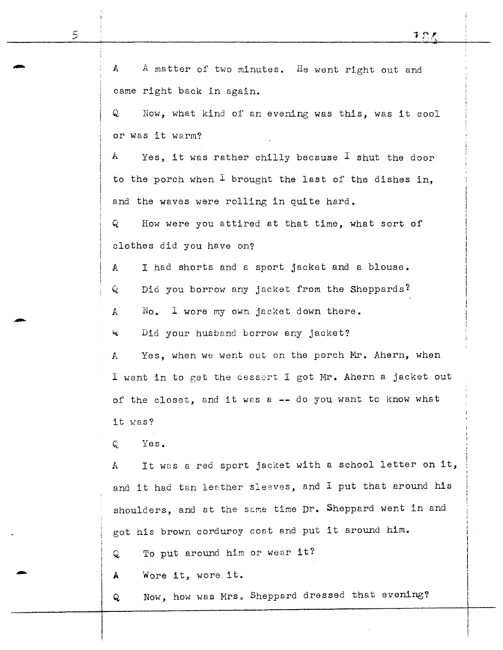| $\mathbb{A}$<br>A matter of two minutes. He went right out and     |  |  |  |  |
|--------------------------------------------------------------------|--|--|--|--|
| came right back in again.                                          |  |  |  |  |
| Q<br>Now, what kind of an evening was this, was it cool            |  |  |  |  |
| or was it warm?                                                    |  |  |  |  |
| $\mathbf{A}$<br>Yes, it was rather chilly because I shut the door  |  |  |  |  |
| to the porch when $I$ brought the last of the dishes in,           |  |  |  |  |
| and the waves were rolling in quite hard.                          |  |  |  |  |
| Q<br>How were you attired at that time, what sort of               |  |  |  |  |
| clothes did you have on?                                           |  |  |  |  |
| I had shorts and a sport jacket and a blouse.<br>A                 |  |  |  |  |
| Did you borrow any jacket from the Sheppards?<br>Q                 |  |  |  |  |
| $\mathbf{A}^{\top}$<br>$No.$ I wore my own jacket down there.      |  |  |  |  |
| $\mathbf{Q}$<br>Did your husband borrow any jacket?                |  |  |  |  |
| Yes, when we went out on the porch Mr. Ahern, when<br>$\mathbb{A}$ |  |  |  |  |
| I went in to get the dessert I got Mr. Ahern a jacket out          |  |  |  |  |
| of the closet, and it was a -- do you want to know what            |  |  |  |  |
| it was?                                                            |  |  |  |  |
| Yes.<br>Q                                                          |  |  |  |  |
| It was a red sport jacket with a school letter on it,<br>A         |  |  |  |  |
| and it had tan leather sleeves, and I put that around his          |  |  |  |  |
| shoulders, and at the same time Dr. Sheppard went in and           |  |  |  |  |
| got his brown corduroy coat and put it around him.                 |  |  |  |  |
| To put around him or wear it?<br>Q                                 |  |  |  |  |
| Wore it, wore it.<br>A                                             |  |  |  |  |
| Now, how was Mrs. Sheppard dressed that evening?<br>Q              |  |  |  |  |
|                                                                    |  |  |  |  |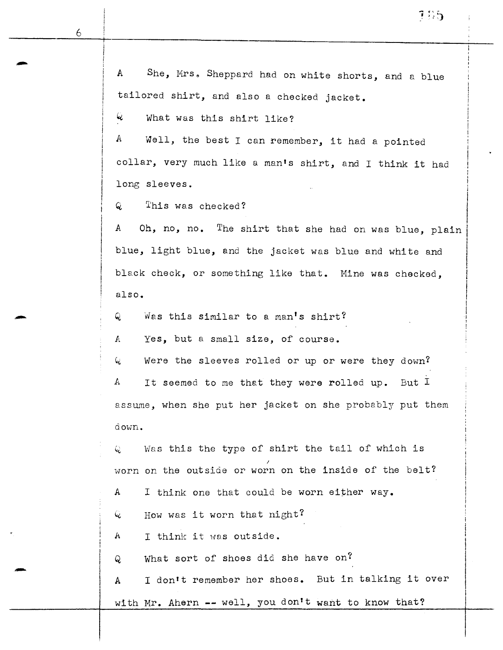-

 $\mathcal{L}$  What was this shirt like?

 $A$  Well, the best I can remember, it had a pointed collar, very much like a man's shirt, and I think it had long sleeves.

Q This was checked?

*<sup>A</sup>*Oh, no, no. The shirt that she had on was blue, plain blue, light blue, and the jacket was blue and white and black check, or something like that. Mine was checked, also.

Q Was this similar to a man's shirt?

*<sup>A</sup>*Yes, but a small size, of course.

 $Q$  Were the sleeves rolled or up or were they down?

A It seemed to me that they were rolled up. But I assume, when she put her jacket on she probably put them down.

Was this the type of shirt the tail of which is worn on the outside or worn on the inside of the belt?

A I think one that could be worn either way.

 $Q$  + How was it worn that night?

 $A$  I think it was outside.

Q What sort of shoes did she have on?

A I don't remember her shoes. But in talking it over with Mr. Ahern -- well, you don't want to know that?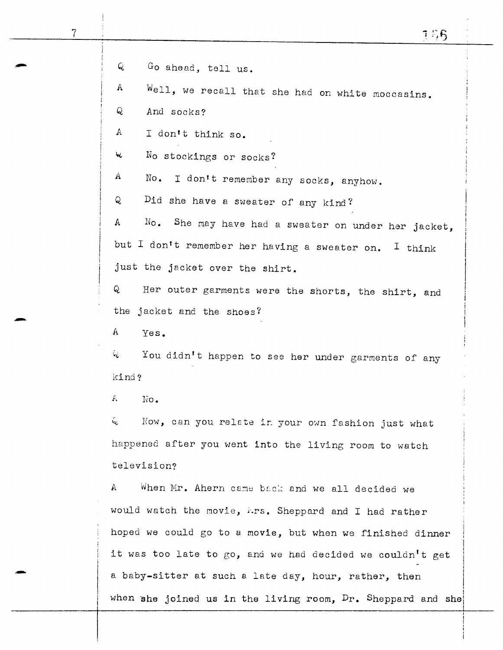7

-

-

Q Go ahead, tell us.

A Well, we recall that she had on white moccasins.

Q And socks?

A I don't think so.

 $\mathcal{L}$  No stockings or socks?

A No. I don't remember any socks, anyhow.

Q Did she have a sweater of any kind?

*A* No. She may have had a sweater on under her jacket, but I don't remember her having a sweater on. I think just the jacket over the shirt.

Q Her outer garments were the shorts, the shirt, and the jacket and the shoes?

A Yes.

*Ci* You didn 1 t happen to see her under garments of any kind?

*l•* lio.

 $Q$  Now, can you relete in your own fashion just what happened after you went into the living room to watch television?

A When Mr. Ahern came back and we all decided we would watch the movie, i·.rs. Sheppard and I had rather hoped we could go to a movie, but when we finished dinner it was too late to *go,* and we had decided we couldn't get a baby-sitter at such a late day, hour, rather, then when she joined us in the living room,  $Dr$ . Sheppard and she

 $\mathbf{I}$  $\mathbf{I}$ 

I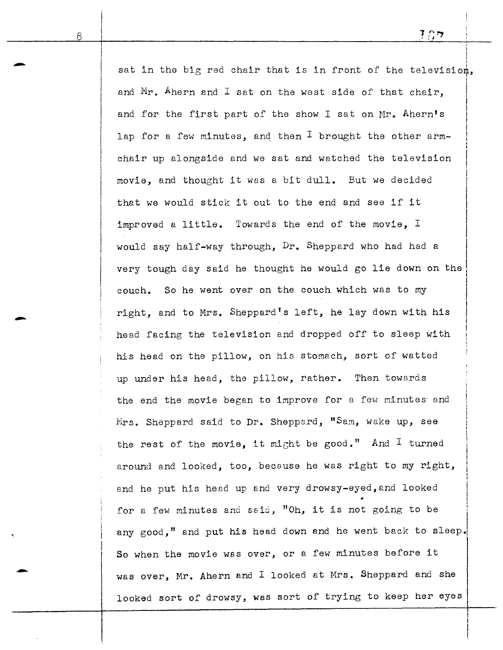sat in the big red chair that is in front of the television, and Mr. Ahern and I sat on the west side of that chair. and for the first part of the show I sat on Mr. Ahern's lap for a few minutes, and then  $I$  brought the other armchair up alongside and we sat and watched the television movie, and thought it was a bit dull. But we decided that we would stick it out to the end and see if it improved a little. Towards the end of the movie, I would say half-way through, Dr. Sheppard who had had a I  $\vert$  $\vert$  $\mathbf{I}$  $\vert$ I I I  $\vert$ very tough day said he thought he would go lie down on the I I couch. So he went over on the couch which was to my right, and to Mrs. Sheppard's left, he lay down with his head facing the television and dropped off to sleep with his head on the pillow, on his stomach, sort of watted up under his head, the pillow, rather. Then towards the end the movie began to improve for a few minutes and  $M$ rs. Sheppard said to Dr. Sheppard, "Sam, wake up, see the rest of the movie, it might be good." And I turned around and looked, too, because he was right to my right, and he put his head up and very drowsy-eyed,and looked for a few minutes and said, "Oh, it is not going to be any good," and put his head down and he went back to sleep. So when the movie was over, or a few minutes before it was over, Mr. Ahern and I looked at Mrs. Sheppard and she looked sort of drowsy, was sort of trying to keep her eyes

-

-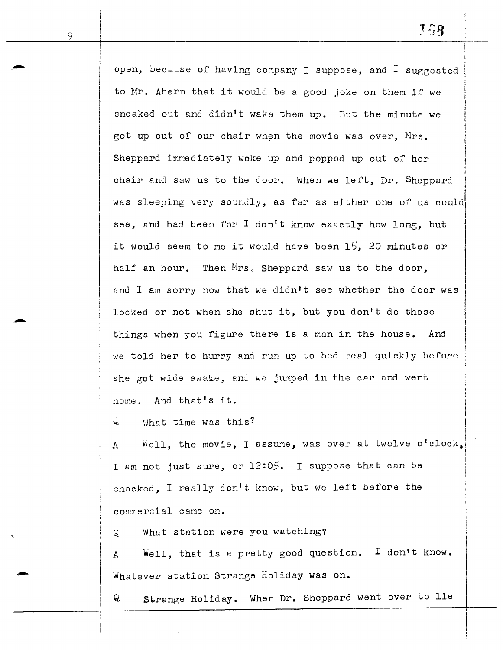i I I I

I I

I

 $\overline{\phantom{a}}$ 

 $\vert$  $\vert$ '

*open,* because of having company I suppose, and I suggested to Mr. Ahern that it would be a good joke on them if we sneaked out and didn't wake them up. But the minute we got up out of our chair when the movie was over, Mrs. Sheppard immediately woke up and popped up out of her I chair and saw us to the door. When we left, Dr. Sheppard  $\big\}$ was sleeping very soundly, as far as either one of us could I see, and had been for I don't know exactly how long, but it would seem to me it would have been *15,* 20 minutes or half an hour. Then Mrs. Sheppard saw us to the door, and I am sorry now that we didn't see whether the door was locked or not when she shut it, but you don't do those things when you figure there is a man in the house. And we told her to hurry ana run up to bed real quickly before she got wide awake, and we jumped in the car and went home. And that's it.

What time was this? 6.

*A* v~ell, the movie, I *e.* ssume, was over I at twelve o <sup>1</sup> clock <sup>1</sup> <sup>1</sup> I am not just sure, or 12:05. I suppose that can be checked, I really don't know, but we left before the commercial came on.

Q What station were you watching?

A Well, that is a pretty good question. I don't know. Whatever station Strange Holiday was on.

Q Strange Holiday. When Dr. Sheppard went over to lie

-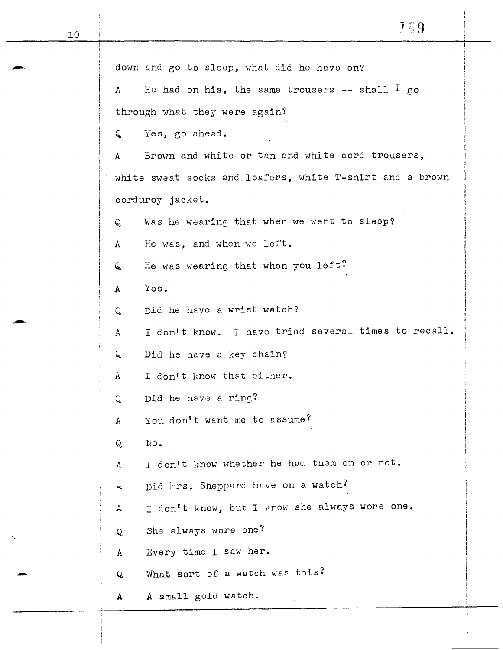|                               | down and go to sleep, what did he have on?               |  |
|-------------------------------|----------------------------------------------------------|--|
| A                             | He had on his, the same trousers $--$ shall $\perp$ go   |  |
| through what they were again? |                                                          |  |
| Q                             | Yes, go ahead.                                           |  |
| A                             | Brown and white or tan and white cord trousers,          |  |
|                               | white sweat socks and loafers, white T-shirt and a brown |  |
|                               | corduroy jacket.                                         |  |
| Q                             | Was he wearing that when we went to sleep?               |  |
| A                             | He was, and when we left.                                |  |
| Q                             | He was wearing that when you left?                       |  |
| A                             | Yes.                                                     |  |
| Q                             | Did he have a wrist watch?                               |  |
| A                             | I don't know. I have tried several times to recall.      |  |
| k.                            | Did he have a key chain?                                 |  |
| A                             | I don't know that either.                                |  |
| Q                             | Did he have a ring?                                      |  |
| A                             | You don't want me to assume?                             |  |
| Q                             | No.                                                      |  |
| Λ                             | I don't know whether he had them on or not.              |  |
| ĺφ,                           | Did Mrs. Sheppard have on a watch?                       |  |
| А                             | I don't know, but I know she always wore one.            |  |
| Q                             | She always wore one?                                     |  |
| A                             | Every time I saw her.                                    |  |
| Q                             | What sort of a watch was this?                           |  |
| $\mathbb{A}$                  | A small gold watch.                                      |  |

10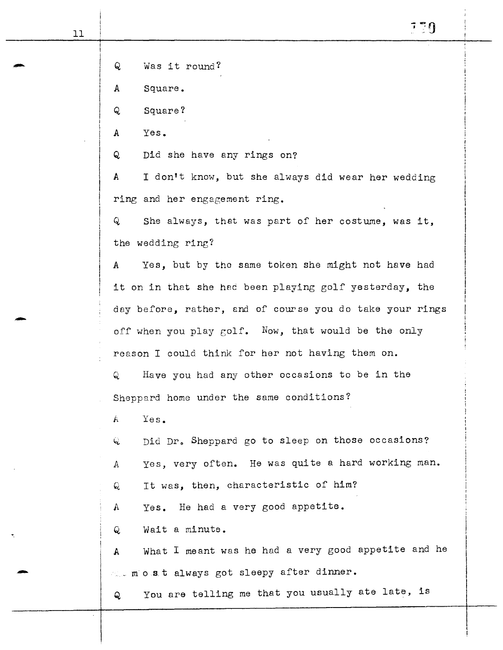| 11 |                                                                     |
|----|---------------------------------------------------------------------|
|    |                                                                     |
|    | Was it round?<br>Q                                                  |
|    | Square.<br>A                                                        |
|    | Q<br>Square?                                                        |
|    | Yes.<br>A                                                           |
|    | Q<br>Did she have any rings on?                                     |
|    | I don't know, but she always did wear her wedding<br>$\mathbf{A}$   |
|    | ring and her engagement ring.                                       |
|    | Q<br>She always, that was part of her costume, was it,              |
|    | the wedding ring?                                                   |
|    | Yes, but by the same token she might not have had<br>$\mathbf{A}$   |
|    | it on in that she had been playing golf yesterday, the              |
|    | day before, rather, and of course you do take your rings            |
|    | off when you play golf. Now, that would be the only                 |
|    | reason I could think for her not having them on.                    |
|    | Have you had any other occasions to be in the<br>Q                  |
|    | Sheppard home under the same conditions?                            |
|    | Yes.<br>Á                                                           |
|    | Did Dr. Sheppard go to sleep on those occasions?<br>Q               |
|    | Yes, very often. He was quite a hard working man.<br>A              |
|    | It was, then, characteristic of him?<br>Q                           |
|    | Yes. He had a very good appetite.<br>$\mathbf{A}$                   |
|    | Wait a minute.<br>Q                                                 |
|    | What I meant was he had a very good appetite and he<br>$\mathbb{A}$ |
|    | most always got sleepy after dinner.                                |
|    | You are telling me that you usually ate late, is<br>Q               |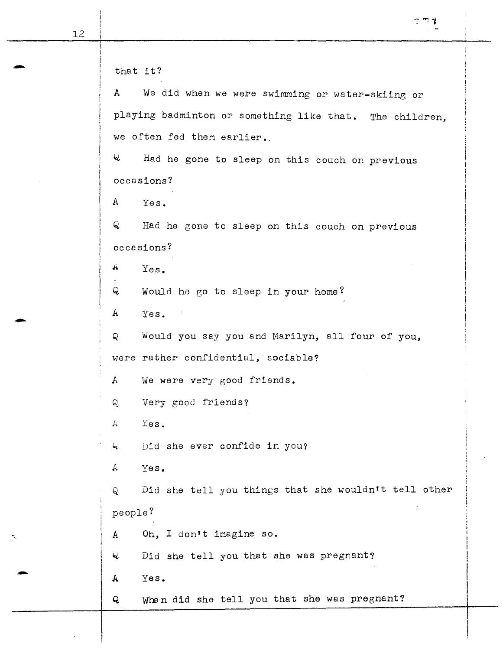$\begin{array}{|c|c|c|}\n\hline\n\text{that it?}\n\end{array}$ A We did when we were swimming or water-skiing or playing badminton or something like that. The children, we often fed them earlier.  $Q$  Had he gone to sleep on this couch on previous occasions? A Yes. Q Had he gone to sleep on this couch on previous occasions? .A Yes. Q Would he go to sleep in your home? A Yes. Q Would you say you and Marilyn, all four of you, were rather confidential, sociable? A we were very good friends. Q Very good friends? A Yes. 4 Did she ever confide in you? A Yes. Q Did she tell you things that she wouldn't tell other people? <sup>A</sup>Oh, I don't imagine so. 4 Did she tell you that she was pregnant?  $\begin{array}{c|cc} & \mathbf{\mathsf{Q}} & \mathbf{\mathsf{Did}} \end{array}$ <br>  $\begin{array}{c|cc} & \mathbf{\mathsf{Q}} & \mathbf{\mathsf{Qid}} \end{array}$ Q When did she tell you that she was pregnant?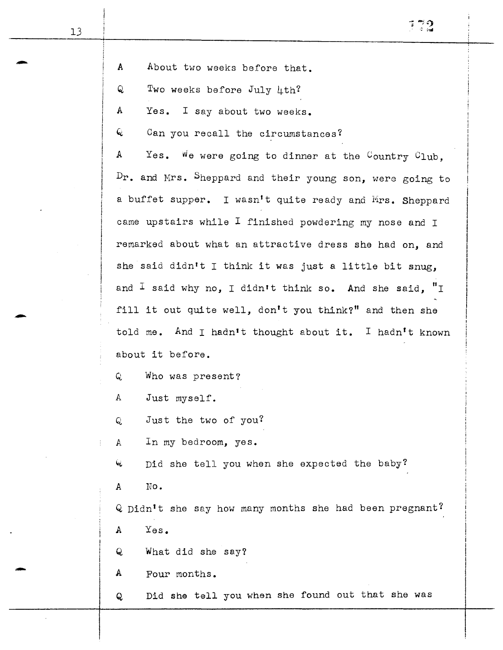-

|   | ú |
|---|---|
| s |   |
|   | ÷ |
|   | ۰ |

| A |  |  |  | About two weeks before that. |  |
|---|--|--|--|------------------------------|--|
|---|--|--|--|------------------------------|--|

 $Q$  Two weeks before July  $\mu$ th?

A Yes. I say about two weeks.

 $Q$  Can you recall the circumstances?

A Yes. We were going to dinner at the Country Club, Dr. and Mrs. Sheppard and their young son, were going to a buffet supper. I wasn't quite ready and Mrs. Sheppard came upstairs while I finished powdering my nose and I remarked about what an attractive dress she had *on,* and she said didn't I think it was just a little bit *snug,*  and <sup>I</sup> said why no, I didn't think so. And she said, "I fill it out quite well, don't you think?" and then she told me. And I hadn't thought about it. I hadn't known about it before.

Q Who was present?

A Just myself.

Q Just the two of you?

A In my bedroom, yes.

 $\omega$  bid she tell you when she expected the baby?

A No.

 $Q$  Didn't she say how many months she had been pregnant? A Yes.

Q What did she say?

A Four months.

Q Did she tell you when she found out that she was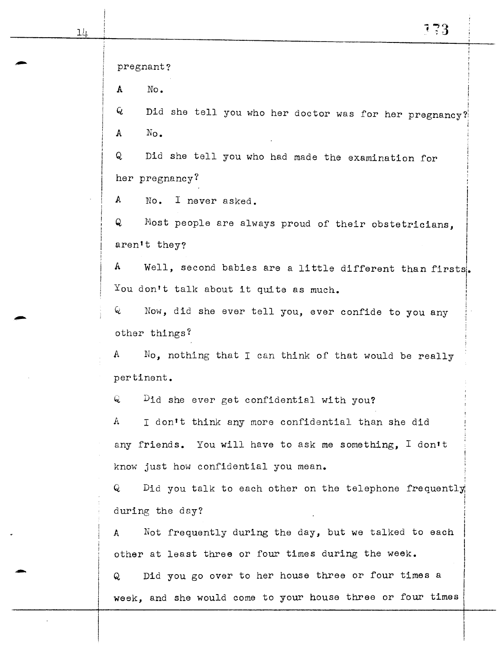ᆚ

-

pregnant? A No. Did she tell you who her doctor was for her pregnancy? Q. I A No. Q Did she tell you who had made the examination for her pregnancy? A No. I never asked. ! I Q Most people are always proud of their obstetricians, I  $\vert$ aren't they?  $\begin{array}{rcl} \mathtt{A} & & \mathtt{Well,}\ \mathtt{second}\ \mathtt{b} & & \mathtt{are}\ \mathtt{a}\ \mathtt{ifferent}\ \mathtt{than}\ \mathtt{firsts} \end{array}$  $\vert$ You don't talk about it quite as much. I I I  $Q$  Now, did she ever tell you, ever confide to you any other things? A  $\quad$  No, nothing that I can think of that would be really pertinent.  $Q$   $Did$  she ever get confidential with you?  $A$  I don't think any more confidential than she did any friends. You will have to ask me something, I don't know just how confidential you mean. Q bid you talk to each other on the telephone frequently i ! during the day? A Not frequently during the day, but we talked to each other at least three or four times during the week. Q Did you go over to her house three or four times a week, and she would come to your house three or four times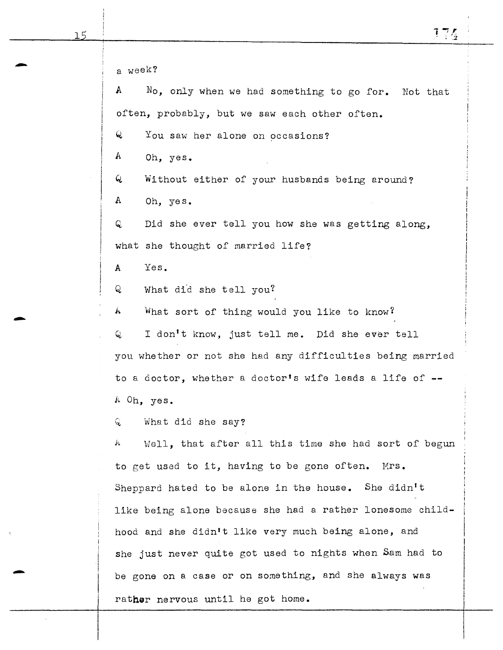a week?  $A$  No, only when we had something to go for. Not that often, probably, but we saw each other often. Q You saw her alone on occasions? A Oh, yes. Q Without either of your husbands being around? A Oh, yes. Q Did she ever tell you how she was getting along, what she thought of married life? A Yes.  $Q$  What did she tell you?  $h$  What sort of thing would you like to know? <sup>Q</sup>I don't know, just tell me. Did she ever tell you whether or not she had any difficulties being married to a doctor, whether a doctor's wife leads a life of --A Oh, yes. Q What did she say?  $A$  Well, that after all this time she had sort of begun to get used to it, having to be gone often. Mrs. Sheppard hated to be alone in the house. She didn't like being alone because she had a rather lonesome childhood and she didn't like very much being alone, and she just never quite got used to nights when Sam had to be gone on a case or on something, and she always was rather nervous until he got home.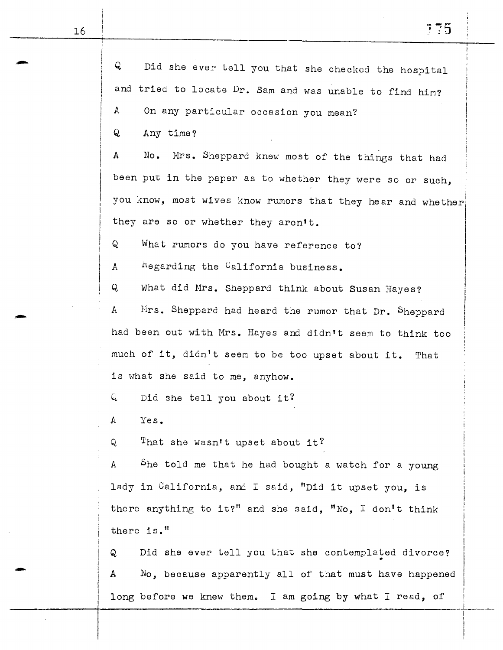Q Did she ever tell you that she checked the hospital and tried to locate Dr. Sam and was unable to find him? A On any particular occasion you mean? Q Any time? A No. Mrs. Sheppard knew most of the things that had been put in the paper as to whether they were so or such,  $\overline{\phantom{a}}$ you know, most wives know rumors that they hear and whether they are so or whether they aren't. Q What rumors do you have reference to? A hegarding the California business. Q What did Mrs. Sheppard think about Susan Hayes? A Hrs. Sheppard had heard the rumor that Dr. Sheppard had been out with Mrs. Hayes and didn't seem to think too much of it, didn't seem to be too upset about it. That is what she said to *me,* anyhow.  $Q$  Did she tell you about it? A Yes.  $Q$  . That she wasn't upset about it? A bhe told me that he had bought a watch for a young lady in California, and I said, "Did it upset you, is there anything to it?" and she said, "No, I don't think there is." Q Did she ever tell you that she contemplated divorce? A No, because apparently all of that must have happened  $\vert$ I |<br>|<br>| I !  $\mathbf{I}$ 

long before we knew them. I am going by what I read, of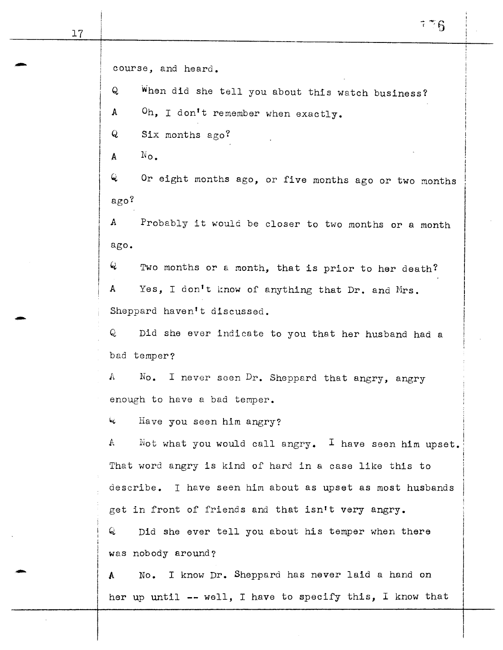-

-

course, and heard. Q When did she tell you about this watch business? A *Oh,* I don't remember when exactly. Q Six months ago?  $A \qquad N_{\Omega}$ Q Or eight months ago, or five months ago or two months ago? A Probably it would be closer to two months or a month ago. Q Two months or & month, that *is* prior to her death? A Yes, I don't i:now of anything that Dr. and Mrs. Sheppard haven't discussed. Q Did she ever indicate to you that her husband had a bad temper?  $A$  No. I never seen Dr. Sheppard that angry, angry enough to have a bad temper. <sup>~</sup>Have you seen him angry?  $A$  Not what you would call angry. I have seen him upset. i That word angry is kind of hard in a ! <sup>I</sup>case like this to describe. I have seen him about as upset as most husbands get in front of friends and that isn't very angry. Q Did she ever tell you about his temper when there was nobody around? <sup>A</sup>No. I know Dr. Sheppard has never laid a hand on

her up until -- well, I have to specify this, I know that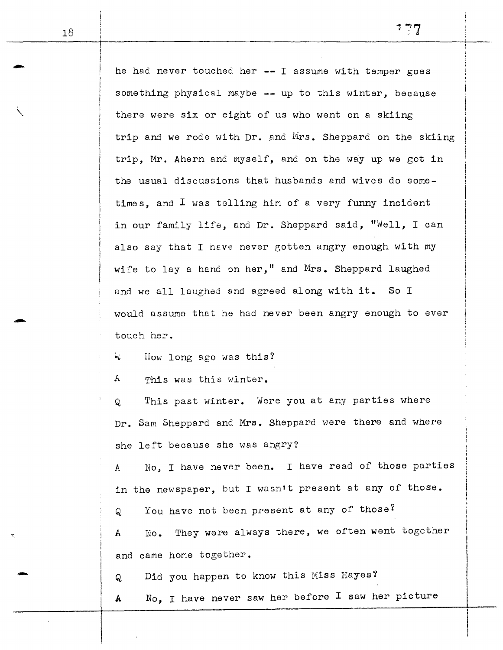he had never touched her  $--$  I assume with temper goes something physical maybe -- up to this winter, because there were six or eight of us who went on a skiing trip and we rode with Dr. and Mrs. Sheppard on the skiing trip, Mr. Ahern and myself, and on the way up we got in the usual discussions that husbands and wives do sometimes, and I was telling him of a very funny incident in our family life, and Dr. Sheppard said, "Well, I can also say that I heve never gotten angry enough with my wife to lay a hand on her," and Mrs. Sheppard laughed and we all laughed and agreed along with it. So I would assume that he had never been angry enough to ever touch her.

 $Q$  How long ago was this?

A This was this winter.

Q This past winter. Were you at any parties where Dr. Sam Sheppard and Mrs. Sheppard were there and where she left because she was angry?

*A* No, I have never been. I have read of those parties in the newspaper, but I wasn't present at any of those.

Q You have not been present at any of those?

A No. They were always there, we often went together and came home together.

Q Did you happen to know this Miss Hayes?

A No, I have never saw her before I saw her picture

-

 $\diagdown$ 

-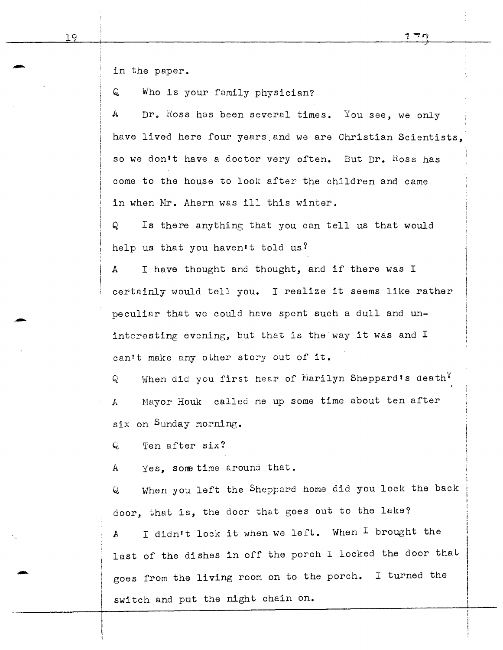I

i I !

in the paper.

Q Who is your family physician?

 $A$  Dr. Ross has been several times. You see, we only have lived here four years and we are Christian Scientists. so we don't have a doctor very often. But Dr. Ross has come to the house to look after the children and came in when Mr. Ahern was ill this winter.

Q Is there anything that you can tell us that would help us that you haven't told us?

A I have thought and thought, and if there was I certainly would tell you. I realize it seems like rather peculiar that we could have spent such a dull and uninteresting evening, but that is the way it was and I can't make any other story out of it.

 $Q$  When did you first hear of Marilyn Sheppard's death<sup>?</sup> *<sup>A</sup>*Mayor Houk called me up some time about ten after six on Sunday morning.

 $Q$  Ten after six?

A Yes, some time around that.

*<sup>Q</sup>*When you left the Sheppard home did you lock the back door, that is, the door that goes out to the lake? A I didn't lock it when we left. When I brought the last of the dishes in off the porch I locked the door that goes from the living room on to the porch. I turned the switch and put the night chain on.

-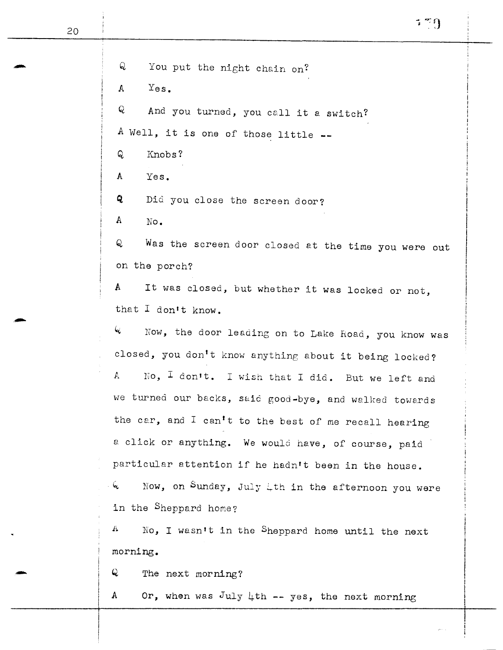Q You put the night chain on? A Yes. Q And you turned, you cell it a switch? A Well, it is one of those little --Q Knobs? A Yes.  $Q$  Did you close the screen door? A No. Q Was the screen door closed at the time you were out on the porch? A It was closed, but whether it was locked or *not,*  that I don't know.  $\mathcal{L}$  Now, the door leading on to Lake Road, you know was closed, you don't know anything about it being locked? A  $\sim$  No,  $\overline{1}$  don't. I wish that I did. But we left and we turned our backs, s&id good-bye, and walked towerds the car, and I can't to the best of me recall hearing a click or anything. We would have, of course, paid particular attention if he hadn't been in the house. Now, on Sunday, July  $\downarrow$ th in the afternoon you were in the Sheppard home?  $A$  No, I wasn't in the Sheppard home until the next morning. morning.<br>
Q The next morning?

A Or, when was July  $\downarrow$ th -- yes, the next morning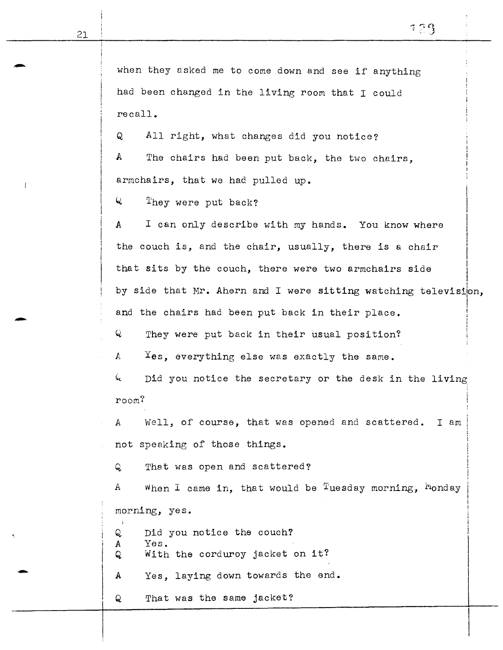$\overline{\phantom{a}}$  $\vert$ 

I I

when they asked me to come down and see if anything had been changed in the living room that I could recall.

Q All right, what changes did you notice? A The chairs had been put back, the two chairs, armchairs, that we had pulled up.

Q They were put back?

A I can only describe with my hands. You know where the couch is, and the chair, usually, there is a chair that sits by the couch, there were two armchairs side  $\overline{\phantom{a}}$ I I  $\mathbf{I}$ |<br>|<br>| I I by side that Mr. Ahern and I were sitting watching television, and the chairs had been put back in their place.  $\mathbf{I}$ I I ' i

Q They were put back in their usual position?

*A* Yes, everything else was exactly the same.

 $Q$  bid you notice the secretary or the desk in the living room?

A Well, of course, that was opened and scattered. I am not speaking of those things.

Q That was open and scattered?

A When I came in, that would be Tuesday morning, Monday morning, yes.

Q Did you notice the couch? A Yes.

Q With the corduroy jacket on it?

<sup>A</sup>*Yes,* laying down towards the end.

Q That was the same jacket?

-

-

"'

·-